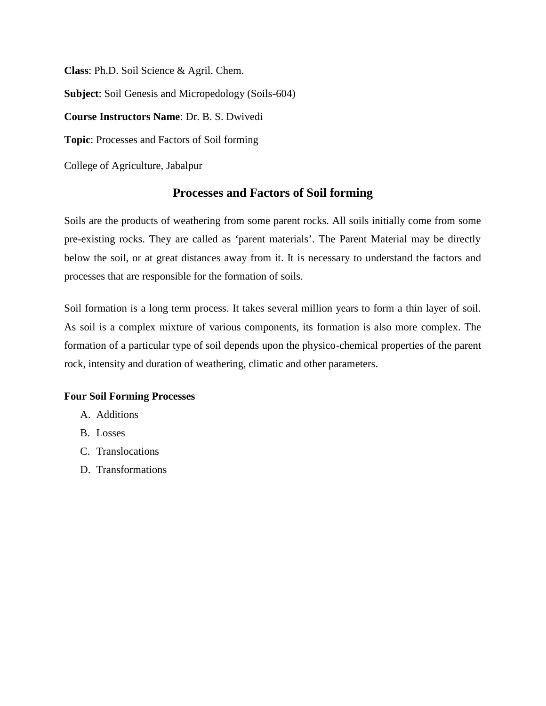**Class**: Ph.D. Soil Science & Agril. Chem.

**Subject**: Soil Genesis and Micropedology (Soils-604)

**Course Instructors Name**: Dr. B. S. Dwivedi

**Topic**: Processes and Factors of Soil forming

College of Agriculture, Jabalpur

# **Processes and Factors of Soil forming**

Soils are the products of weathering from some parent rocks. All soils initially come from some pre-existing rocks. They are called as 'parent materials'. The Parent Material may be directly below the soil, or at great distances away from it. It is necessary to understand the factors and processes that are responsible for the formation of soils.

Soil formation is a long term process. It takes several million years to form a thin layer of soil. As soil is a complex mixture of various components, its formation is also more complex. The formation of a particular type of soil depends upon the physico-chemical properties of the parent rock, intensity and duration of weathering, climatic and other parameters.

# **Four Soil Forming Processes**

- A. Additions
- B. Losses
- C. Translocations
- D. Transformations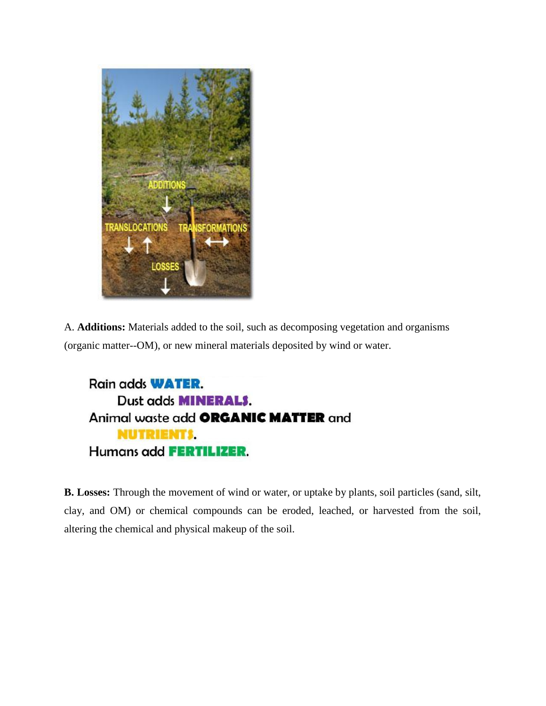

A. **Additions:** Materials added to the soil, such as decomposing vegetation and organisms (organic matter--OM), or new mineral materials deposited by wind or water.



**B. Losses:** Through the movement of wind or water, or uptake by plants, soil particles (sand, silt, clay, and OM) or chemical compounds can be eroded, leached, or harvested from the soil, altering the chemical and physical makeup of the soil.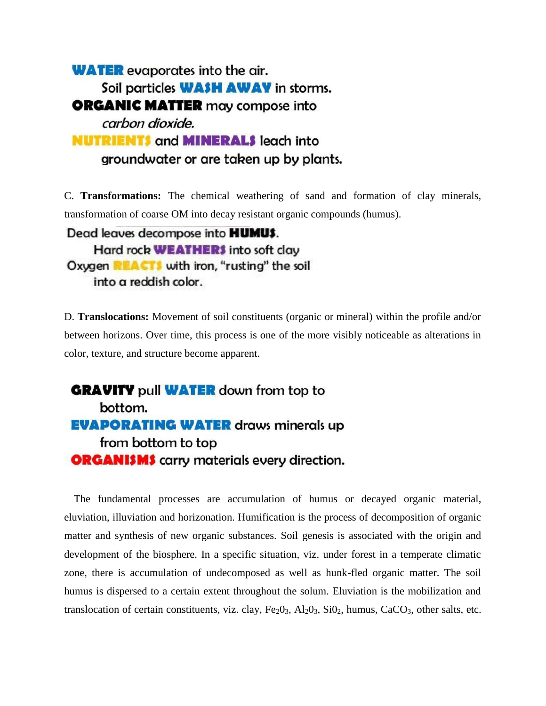**WATER** evaporates into the air. Soil particles **WASH AWAY** in storms. **ORGANIC MATTER** may compose into carbon dioxide. **NUTRIENTS and MINERALS leach into** groundwater or are taken up by plants.

C. **Transformations:** The chemical weathering of sand and formation of clay minerals, transformation of coarse OM into decay resistant organic compounds (humus).

Dead leaves decompose into **HUMUS**. Hard rock **WEATHER**\$ into soft clay Oxygen **REACTI** with iron, "rusting" the soil into a reddish color.

D. **Translocations:** Movement of soil constituents (organic or mineral) within the profile and/or between horizons. Over time, this process is one of the more visibly noticeable as alterations in color, texture, and structure become apparent.

**GRAVITY** pull **WATER** down from top to bottom. **EVAPORATING WATER draws minerals up** from bottom to top **ORGANISMS** carry materials every direction.

The fundamental processes are accumulation of humus or decayed organic material, eluviation, illuviation and horizonation. Humification is the process of decomposition of organic matter and synthesis of new organic substances. Soil genesis is associated with the origin and development of the biosphere. In a specific situation, viz. under forest in a temperate climatic zone, there is accumulation of undecomposed as well as hunk-fled organic matter. The soil humus is dispersed to a certain extent throughout the solum. Eluviation is the mobilization and translocation of certain constituents, viz. clay,  $Fe<sub>2</sub>O<sub>3</sub>$ , Al<sub>2</sub>O<sub>3</sub>, SiO<sub>2</sub>, humus, CaCO<sub>3</sub>, other salts, etc.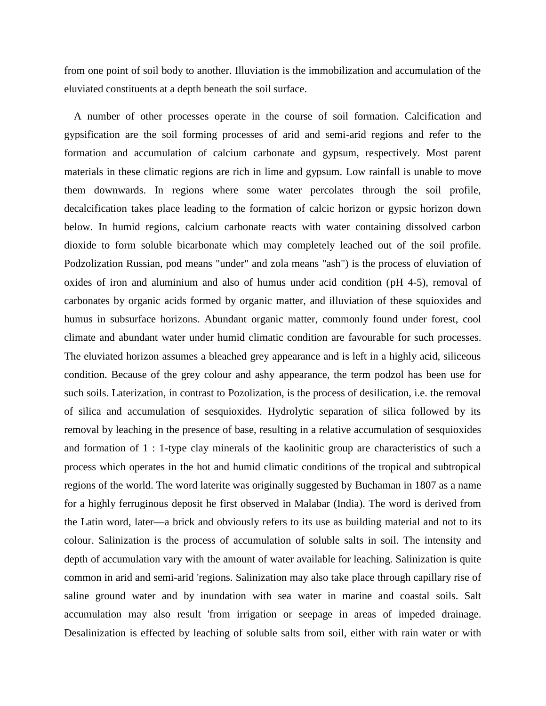from one point of soil body to another. Illuviation is the immobilization and accumulation of the eluviated constituents at a depth beneath the soil surface.

A number of other processes operate in the course of soil formation. Calcification and gypsification are the soil forming processes of arid and semi-arid regions and refer to the formation and accumulation of calcium carbonate and gypsum, respectively. Most parent materials in these climatic regions are rich in lime and gypsum. Low rainfall is unable to move them downwards. In regions where some water percolates through the soil profile, decalcification takes place leading to the formation of calcic horizon or gypsic horizon down below. In humid regions, calcium carbonate reacts with water containing dissolved carbon dioxide to form soluble bicarbonate which may completely leached out of the soil profile. Podzolization Russian, pod means "under" and zola means "ash") is the process of eluviation of oxides of iron and aluminium and also of humus under acid condition (pH 4-5), removal of carbonates by organic acids formed by organic matter, and illuviation of these squioxides and humus in subsurface horizons. Abundant organic matter, commonly found under forest, cool climate and abundant water under humid climatic condition are favourable for such processes. The eluviated horizon assumes a bleached grey appearance and is left in a highly acid, siliceous condition. Because of the grey colour and ashy appearance, the term podzol has been use for such soils. Laterization, in contrast to Pozolization, is the process of desilication, i.e. the removal of silica and accumulation of sesquioxides. Hydrolytic separation of silica followed by its removal by leaching in the presence of base, resulting in a relative accumulation of sesquioxides and formation of 1 : 1-type clay minerals of the kaolinitic group are characteristics of such a process which operates in the hot and humid climatic conditions of the tropical and subtropical regions of the world. The word laterite was originally suggested by Buchaman in 1807 as a name for a highly ferruginous deposit he first observed in Malabar (India). The word is derived from the Latin word, later—a brick and obviously refers to its use as building material and not to its colour. Salinization is the process of accumulation of soluble salts in soil. The intensity and depth of accumulation vary with the amount of water available for leaching. Salinization is quite common in arid and semi-arid 'regions. Salinization may also take place through capillary rise of saline ground water and by inundation with sea water in marine and coastal soils. Salt accumulation may also result 'from irrigation or seepage in areas of impeded drainage. Desalinization is effected by leaching of soluble salts from soil, either with rain water or with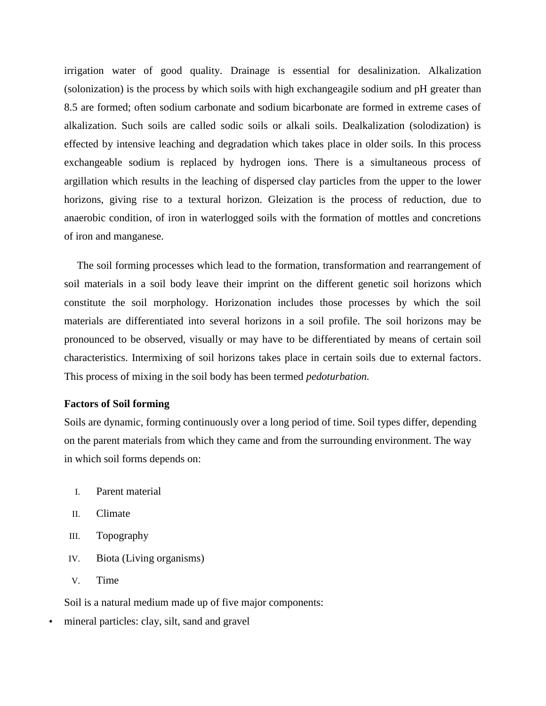irrigation water of good quality. Drainage is essential for desalinization. Alkalization (solonization) is the process by which soils with high exchangeagile sodium and pH greater than 8.5 are formed; often sodium carbonate and sodium bicarbonate are formed in extreme cases of alkalization. Such soils are called sodic soils or alkali soils. Dealkalization (solodization) is effected by intensive leaching and degradation which takes place in older soils. In this process exchangeable sodium is replaced by hydrogen ions. There is a simultaneous process of argillation which results in the leaching of dispersed clay particles from the upper to the lower horizons, giving rise to a textural horizon. Gleization is the process of reduction, due to anaerobic condition, of iron in waterlogged soils with the formation of mottles and concretions of iron and manganese.

The soil forming processes which lead to the formation, transformation and rearrangement of soil materials in a soil body leave their imprint on the different genetic soil horizons which constitute the soil morphology. Horizonation includes those processes by which the soil materials are differentiated into several horizons in a soil profile. The soil horizons may be pronounced to be observed, visually or may have to be differentiated by means of certain soil characteristics. Intermixing of soil horizons takes place in certain soils due to external factors. This process of mixing in the soil body has been termed *pedoturbation.*

# **Factors of Soil forming**

Soils are dynamic, forming continuously over a long period of time. Soil types differ, depending on the parent materials from which they came and from the surrounding environment. The way in which soil forms depends on:

- I. Parent material
- II. Climate
- III. Topography
- IV. Biota (Living organisms)
- V. Time

Soil is a natural medium made up of five major components:

mineral particles: clay, silt, sand and gravel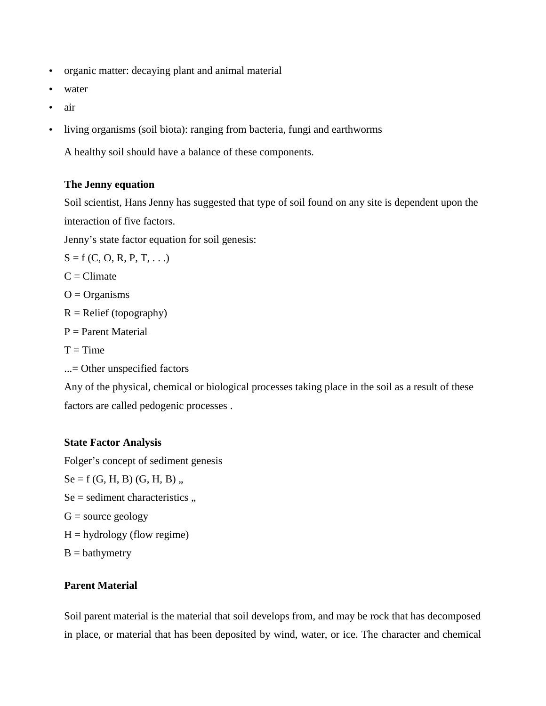- organic matter: decaying plant and animal material
- water
- air
- living organisms (soil biota): ranging from bacteria, fungi and earthworms

A healthy soil should have a balance of these components.

# **The Jenny equation**

Soil scientist, Hans Jenny has suggested that type of soil found on any site is dependent upon the interaction of five factors.

Jenny's state factor equation for soil genesis:

$$
S = f(C, O, R, P, T, ...)
$$

 $C =$ Climate

 $O = Organisms$ 

 $R =$  Relief (topography)

- $P =$  Parent Material
- $T = Time$
- ...= Other unspecified factors

Any of the physical, chemical or biological processes taking place in the soil as a result of these factors are called pedogenic processes .

# **State Factor Analysis**

Folger's concept of sediment genesis

- $Se = f(G, H, B) (G, H, B)$ ,
- $Se = sediment characteristics$ ,
- $G = source geology$
- $H =$ hydrology (flow regime)
- $B =$  bathymetry

# **Parent Material**

Soil parent material is the material that soil develops from, and may be rock that has decomposed in place, or material that has been deposited by wind, water, or ice. The character and chemical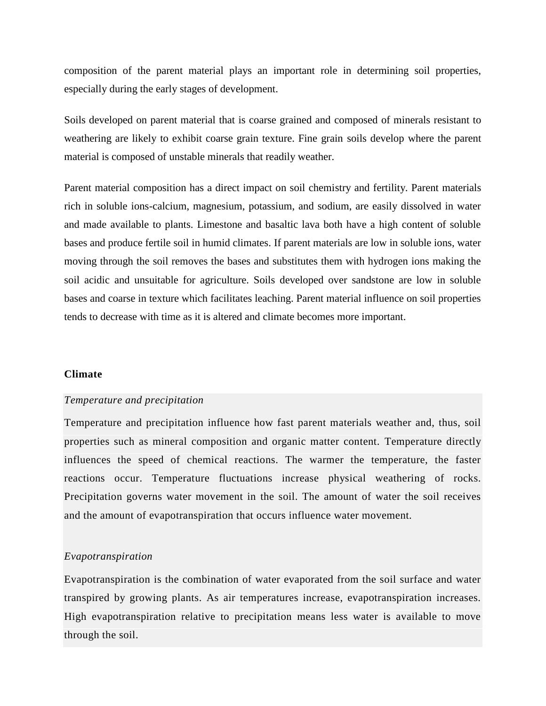composition of the parent material plays an important role in determining soil properties, especially during the early stages of development.

Soils developed on parent material that is coarse grained and composed of minerals resistant to weathering are likely to exhibit coarse grain texture. Fine grain soils develop where the parent material is composed of unstable minerals that readily weather.

Parent material composition has a direct impact on soil chemistry and fertility. Parent materials rich in soluble ions-calcium, magnesium, potassium, and sodium, are easily dissolved in water and made available to plants. Limestone and basaltic lava both have a high content of soluble bases and produce fertile soil in humid climates. If parent materials are low in soluble ions, water moving through the soil removes the bases and substitutes them with hydrogen ions making the soil acidic and unsuitable for agriculture. Soils developed over sandstone are low in soluble bases and coarse in texture which facilitates leaching. Parent material influence on soil properties tends to decrease with time as it is altered and climate becomes more important.

## **Climate**

## *Temperature and precipitation*

Temperature and precipitation influence how fast parent materials weather and, thus, soil properties such as mineral composition and organic matter content. Temperature directly influences the speed of chemical reactions. The warmer the temperature, the faster reactions occur. Temperature fluctuations increase physical weathering of rocks. Precipitation governs water movement in the soil. The amount of water the soil receives and the amount of evapotranspiration that occurs influence water movement.

#### *Evapotranspiration*

Evapotranspiration is the combination of water evaporated from the soil surface and water transpired by growing plants. As air temperatures increase, evapotranspiration increases. High evapotranspiration relative to precipitation means less water is available to move through the soil.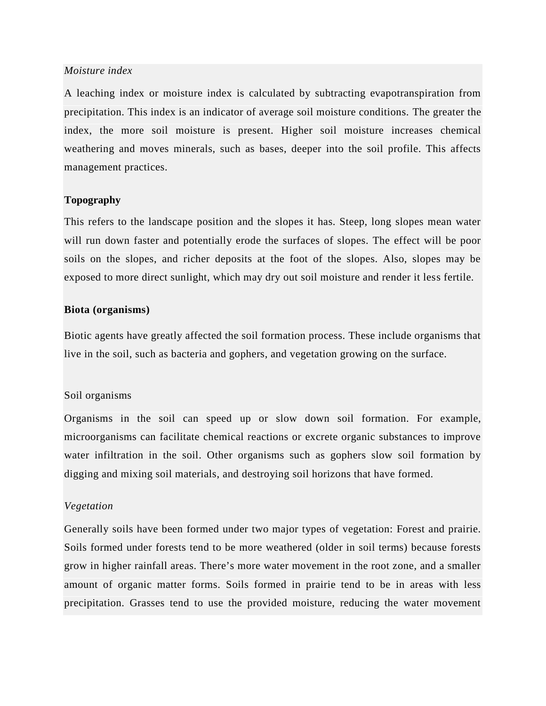# *Moisture index*

A leaching index or moisture index is calculated by subtracting evapotranspiration from precipitation. This index is an indicator of average soil moisture conditions. The greater the index, the more soil moisture is present. Higher soil moisture increases chemical weathering and moves minerals, such as bases, deeper into the soil profile. This affects management practices.

## **Topography**

This refers to the landscape position and the slopes it has. Steep, long slopes mean water will run down faster and potentially erode the surfaces of slopes. The effect will be poor soils on the slopes, and richer deposits at the foot of the slopes. Also, slopes may be exposed to more direct sunlight, which may dry out soil moisture and render it less fertile.

# **Biota (organisms)**

Biotic agents have greatly affected the soil formation process. These include organisms that live in the soil, such as bacteria and gophers, and vegetation growing on the surface.

#### Soil organisms

Organisms in the soil can speed up or slow down soil formation. For example, microorganisms can facilitate chemical reactions or excrete organic substances to improve water infiltration in the soil. Other organisms such as gophers slow soil formation by digging and mixing soil materials, and destroying soil horizons that have formed.

# *Vegetation*

Generally soils have been formed under two major types of vegetation: Forest and prairie. Soils formed under forests tend to be more weathered (older in soil terms) because forests grow in higher rainfall areas. There's more water movement in the root zone, and a smaller amount of organic matter forms. Soils formed in prairie tend to be in areas with less precipitation. Grasses tend to use the provided moisture, reducing the water movement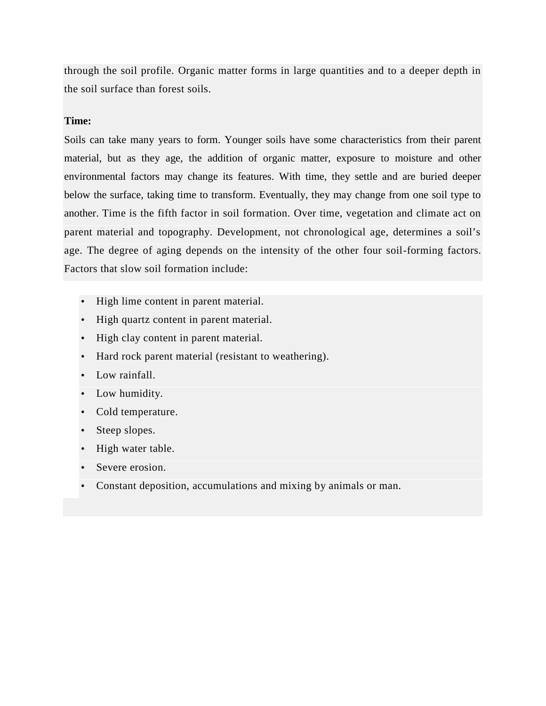through the soil profile. Organic matter forms in large quantities and to a deeper depth in the soil surface than forest soils.

# **Time:**

Soils can take many years to form. Younger soils have some characteristics from their parent material, but as they age, the addition of organic matter, exposure to moisture and other environmental factors may change its features. With time, they settle and are buried deeper below the surface, taking time to transform. Eventually, they may change from one soil type to another. Time is the fifth factor in soil formation. Over time, vegetation and climate act on parent material and topography. Development, not chronological age, determines a soil's age. The degree of aging depends on the intensity of the other four soil-forming factors. Factors that slow soil formation include:

- High lime content in parent material.
- High quartz content in parent material.
- High clay content in parent material.
- Hard rock parent material (resistant to weathering).
- Low rainfall.
- Low humidity.
- Cold temperature.
- Steep slopes.
- High water table.
- Severe erosion.
- Constant deposition, accumulations and mixing by animals or man.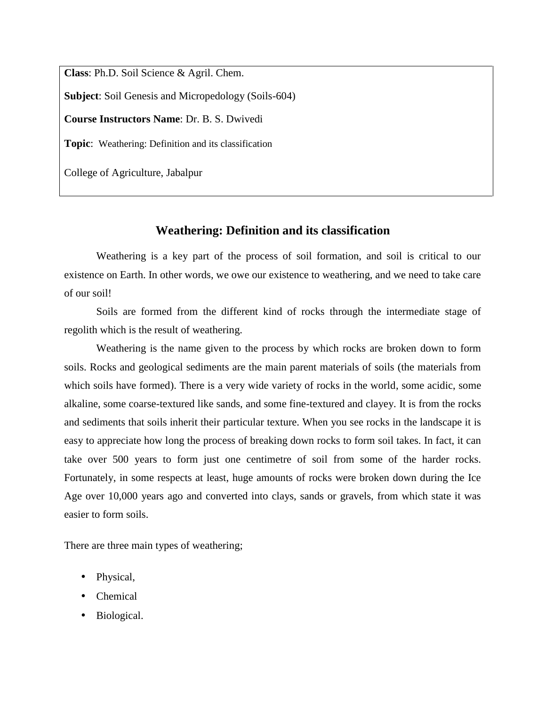**Class**: Ph.D. Soil Science & Agril. Chem.

**Subject**: Soil Genesis and Micropedology (Soils-604)

**Course Instructors Name**: Dr. B. S. Dwivedi

**Topic**: Weathering: Definition and its classification

College of Agriculture, Jabalpur

# **Weathering: Definition and its classification**

Weathering is a key part of the process of soil formation, and soil is critical to our existence on Earth. In other words, we owe our existence to weathering, and we need to take care of our soil!

Soils are formed from the different kind of rocks through the intermediate stage of regolith which is the result of weathering.

Weathering is the name given to the process by which rocks are broken down to form soils. Rocks and geological sediments are the main parent materials of soils (the materials from which soils have formed). There is a very wide variety of rocks in the world, some acidic, some alkaline, some coarse-textured like sands, and some fine-textured and clayey. It is from the rocks and sediments that soils inherit their particular texture. When you see rocks in the landscape it is easy to appreciate how long the process of breaking down rocks to form soil takes. In fact, it can take over 500 years to form just one centimetre of soil from some of the harder rocks. Fortunately, in some respects at least, huge amounts of rocks were broken down during the Ice Age over 10,000 years ago and converted into clays, sands or gravels, from which state it was easier to form soils.

There are three main types of weathering;

- Physical,
- Chemical
- Biological.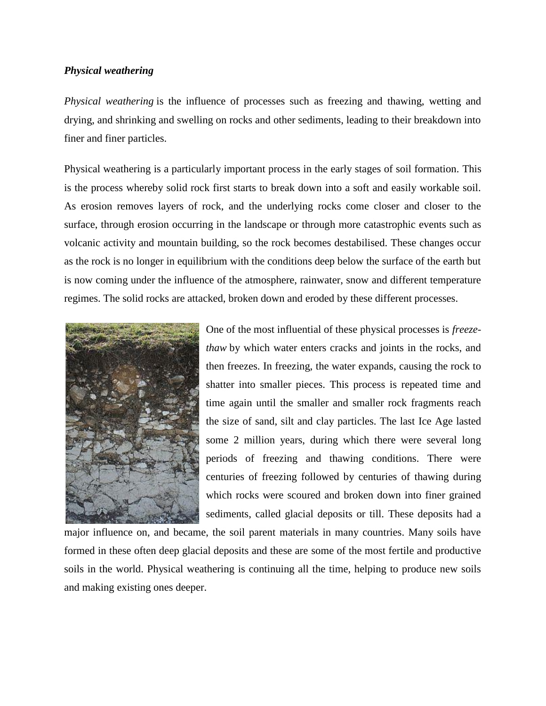# *Physical weathering*

*Physical weathering* is the influence of processes such as freezing and thawing, wetting and drying, and shrinking and swelling on rocks and other sediments, leading to their breakdown into finer and finer particles.

Physical weathering is a particularly important process in the early stages of soil formation. This is the process whereby solid rock first starts to break down into a soft and easily workable soil. As erosion removes layers of rock, and the underlying rocks come closer and closer to the surface, through erosion occurring in the landscape or through more catastrophic events such as volcanic activity and mountain building, so the rock becomes destabilised. These changes occur as the rock is no longer in equilibrium with the conditions deep below the surface of the earth but is now coming under the influence of the atmosphere, rainwater, snow and different temperature regimes. The solid rocks are attacked, broken down and eroded by these different processes.



One of the most influential of these physical processes is *freezethaw* by which water enters cracks and joints in the rocks, and then freezes. In freezing, the water expands, causing the rock to shatter into smaller pieces. This process is repeated time and time again until the smaller and smaller rock fragments reach the size of sand, silt and clay particles. The last Ice Age lasted some 2 million years, during which there were several long periods of freezing and thawing conditions. There were centuries of freezing followed by centuries of thawing during which rocks were scoured and broken down into finer grained sediments, called glacial deposits or till. These deposits had a

major influence on, and became, the soil parent materials in many countries. Many soils have formed in these often deep glacial deposits and these are some of the most fertile and productive soils in the world. Physical weathering is continuing all the time, helping to produce new soils and making existing ones deeper.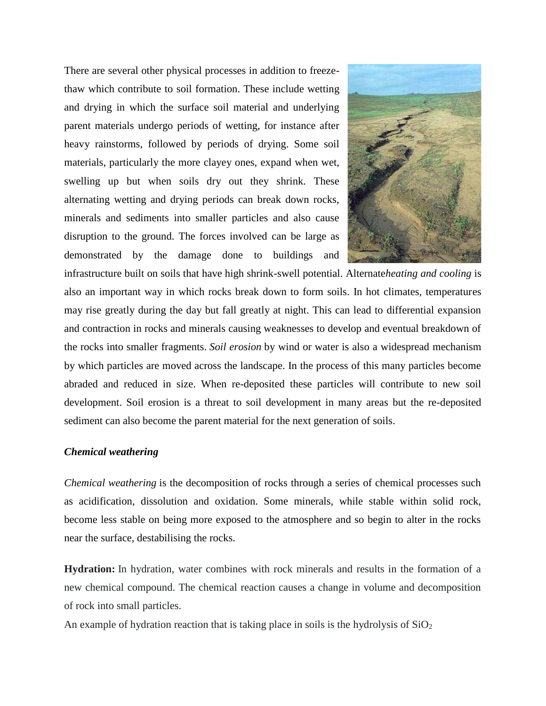There are several other physical processes in addition to freezethaw which contribute to soil formation. These include wetting and drying in which the surface soil material and underlying parent materials undergo periods of wetting, for instance after heavy rainstorms, followed by periods of drying. Some soil materials, particularly the more clayey ones, expand when wet, swelling up but when soils dry out they shrink. These alternating wetting and drying periods can break down rocks, minerals and sediments into smaller particles and also cause disruption to the ground. The forces involved can be large as demonstrated by the damage done to buildings and



infrastructure built on soils that have high shrink-swell potential. Alternate*heating and cooling* is also an important way in which rocks break down to form soils. In hot climates, temperatures may rise greatly during the day but fall greatly at night. This can lead to differential expansion and contraction in rocks and minerals causing weaknesses to develop and eventual breakdown of the rocks into smaller fragments. *Soil erosion* by wind or water is also a widespread mechanism by which particles are moved across the landscape. In the process of this many particles become abraded and reduced in size. When re-deposited these particles will contribute to new soil development. Soil erosion is a threat to soil development in many areas but the re-deposited sediment can also become the parent material for the next generation of soils.

# *Chemical weathering*

*Chemical weathering* is the decomposition of rocks through a series of chemical processes such as acidification, dissolution and oxidation. Some minerals, while stable within solid rock, become less stable on being more exposed to the atmosphere and so begin to alter in the rocks near the surface, destabilising the rocks.

**Hydration:** In hydration, water combines with rock minerals and results in the formation of a new chemical compound. The chemical reaction causes a change in volume and decomposition of rock into small particles.

An example of hydration reaction that is taking place in soils is the hydrolysis of  $SiO<sub>2</sub>$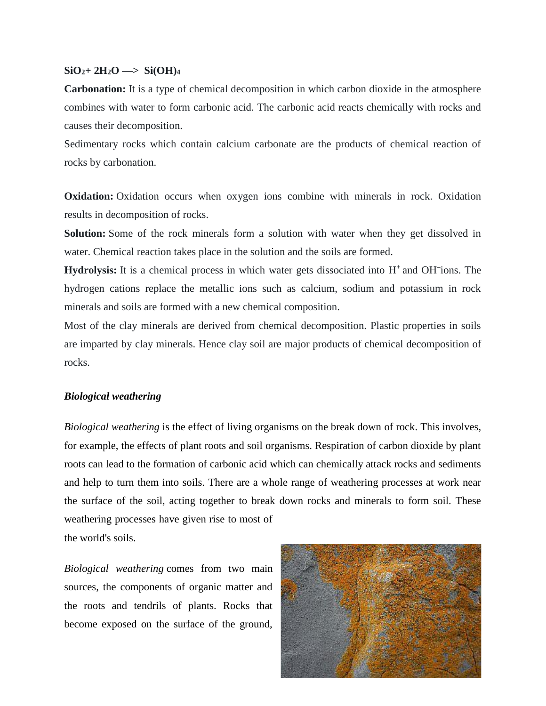# $\text{SiO}_{2}$ +  $2\text{H}_{2}\text{O}$   $\longrightarrow$   $\text{Si(OH)}_{4}$

**Carbonation:** It is a type of chemical decomposition in which carbon dioxide in the atmosphere combines with water to form carbonic acid. The carbonic acid reacts chemically with rocks and causes their decomposition.

Sedimentary rocks which contain calcium carbonate are the products of chemical reaction of rocks by carbonation.

**Oxidation:** Oxidation occurs when oxygen ions combine with minerals in rock. Oxidation results in decomposition of rocks.

**Solution:** Some of the rock minerals form a solution with water when they get dissolved in water. Chemical reaction takes place in the solution and the soils are formed.

Hydrolysis: It is a chemical process in which water gets dissociated into H<sup>+</sup> and OH<sup>-</sup>ions. The hydrogen cations replace the metallic ions such as calcium, sodium and potassium in rock minerals and soils are formed with a new chemical composition.

Most of the clay minerals are derived from chemical decomposition. Plastic properties in soils are imparted by clay minerals. Hence clay soil are major products of chemical decomposition of rocks.

# *Biological weathering*

*Biological weathering* is the effect of living organisms on the break down of rock. This involves, for example, the effects of plant roots and soil organisms. Respiration of carbon dioxide by plant roots can lead to the formation of carbonic acid which can chemically attack rocks and sediments and help to turn them into soils. There are a whole range of weathering processes at work near the surface of the soil, acting together to break down rocks and minerals to form soil. These weathering processes have given rise to most of the world's soils.

*Biological weathering* comes from two main sources, the components of organic matter and the roots and tendrils of plants. Rocks that become exposed on the surface of the ground,

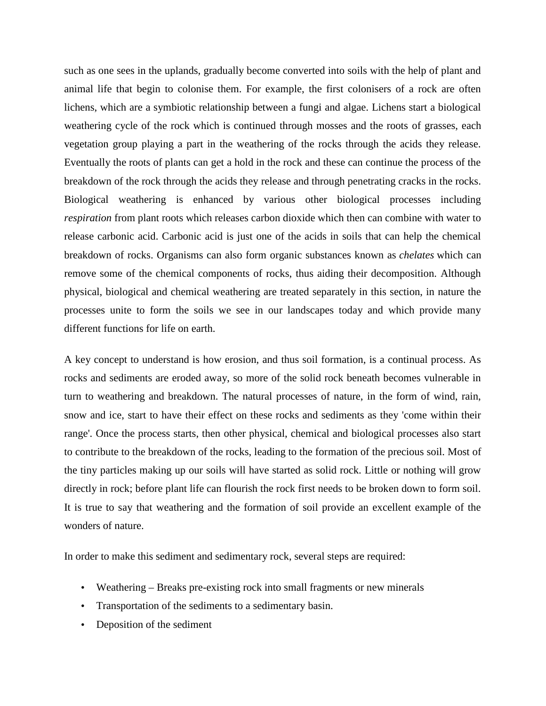such as one sees in the uplands, gradually become converted into soils with the help of plant and animal life that begin to colonise them. For example, the first colonisers of a rock are often lichens, which are a symbiotic relationship between a fungi and algae. Lichens start a biological weathering cycle of the rock which is continued through mosses and the roots of grasses, each vegetation group playing a part in the weathering of the rocks through the acids they release. Eventually the roots of plants can get a hold in the rock and these can continue the process of the breakdown of the rock through the acids they release and through penetrating cracks in the rocks. Biological weathering is enhanced by various other biological processes including *respiration* from plant roots which releases carbon dioxide which then can combine with water to release carbonic acid. Carbonic acid is just one of the acids in soils that can help the chemical breakdown of rocks. Organisms can also form organic substances known as *chelates* which can remove some of the chemical components of rocks, thus aiding their decomposition. Although physical, biological and chemical weathering are treated separately in this section, in nature the processes unite to form the soils we see in our landscapes today and which provide many different functions for life on earth.

A key concept to understand is how erosion, and thus soil formation, is a continual process. As rocks and sediments are eroded away, so more of the solid rock beneath becomes vulnerable in turn to weathering and breakdown. The natural processes of nature, in the form of wind, rain, snow and ice, start to have their effect on these rocks and sediments as they 'come within their range'. Once the process starts, then other physical, chemical and biological processes also start to contribute to the breakdown of the rocks, leading to the formation of the precious soil. Most of the tiny particles making up our soils will have started as solid rock. Little or nothing will grow directly in rock; before plant life can flourish the rock first needs to be broken down to form soil. It is true to say that weathering and the formation of soil provide an excellent example of the wonders of nature.

In order to make this sediment and sedimentary rock, several steps are required:

- Weathering Breaks pre-existing rock into small fragments or new minerals
- Transportation of the sediments to a sedimentary basin.
- Deposition of the sediment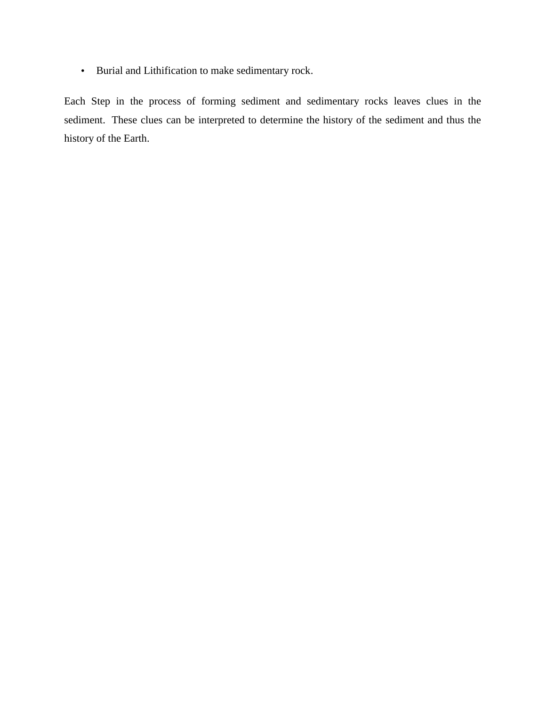Burial and Lithification to make sedimentary rock.

Each Step in the process of forming sediment and sedimentary rocks leaves clues in the sediment. These clues can be interpreted to determine the history of the sediment and thus the history of the Earth.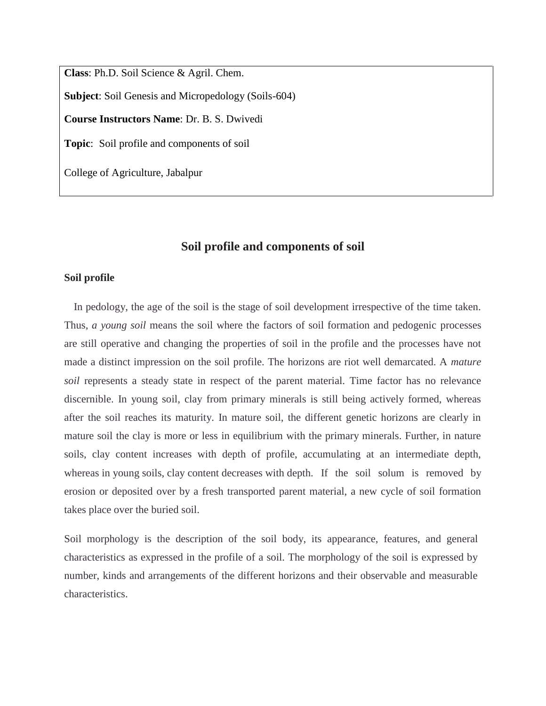**Class**: Ph.D. Soil Science & Agril. Chem. **Subject**: Soil Genesis and Micropedology (Soils-604) **Course Instructors Name**: Dr. B. S. Dwivedi **Topic**: Soil profile and components of soil

College of Agriculture, Jabalpur

# **Soil profile and components of soil**

#### **Soil profile**

In pedology, the age of the soil is the stage of soil development irrespective of the time taken. Thus, *a young soil* means the soil where the factors of soil formation and pedogenic processes are still operative and changing the properties of soil in the profile and the processes have not made a distinct impression on the soil profile. The horizons are riot well demarcated. A *mature soil* represents a steady state in respect of the parent material. Time factor has no relevance discernible. In young soil, clay from primary minerals is still being actively formed, whereas after the soil reaches its maturity. In mature soil, the different genetic horizons are clearly in mature soil the clay is more or less in equilibrium with the primary minerals. Further, in nature soils, clay content increases with depth of profile, accumulating at an intermediate depth, whereas in young soils, clay content decreases with depth. If the soil solum is removed by erosion or deposited over by a fresh transported parent material, a new cycle of soil formation takes place over the buried soil.

Soil morphology is the description of the soil body, its appearance, features, and general characteristics as expressed in the profile of a soil. The morphology of the soil is expressed by number, kinds and arrangements of the different horizons and their observable and measurable characteristics.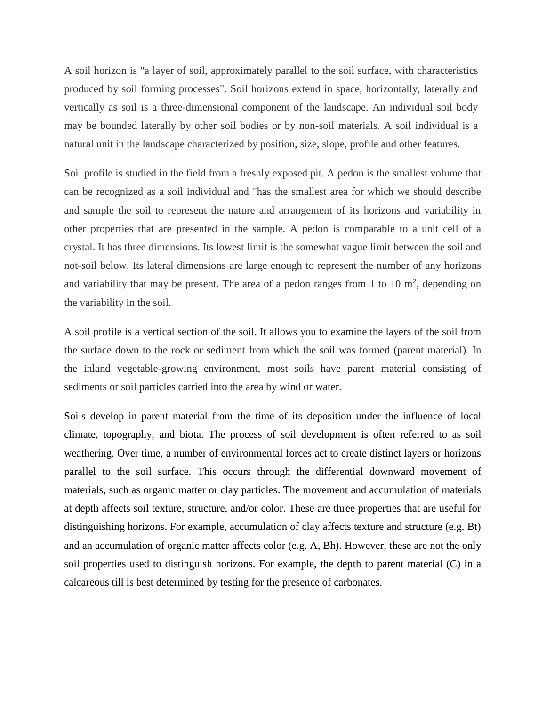A soil horizon is "a layer of soil, approximately parallel to the soil surface, with characteristics produced by soil forming processes". Soil horizons extend in space, horizontally, laterally and vertically as soil is a three-dimensional component of the landscape. An individual soil body may be bounded laterally by other soil bodies or by non-soil materials. A soil individual is a natural unit in the landscape characterized by position, size, slope, profile and other features.

Soil profile is studied in the field from a freshly exposed pit. A pedon is the smallest volume that can be recognized as a soil individual and "has the smallest area for which we should describe and sample the soil to represent the nature and arrangement of its horizons and variability in other properties that are presented in the sample. A pedon is comparable to a unit cell of a crystal. It has three dimensions. Its lowest limit is the somewhat vague limit between the soil and not-soil below. Its lateral dimensions are large enough to represent the number of any horizons and variability that may be present. The area of a pedon ranges from 1 to 10  $m<sup>2</sup>$ , depending on the variability in the soil.

A soil profile is a vertical section of the soil. It allows you to examine the layers of the soil from the surface down to the rock or sediment from which the soil was formed (parent material). In the inland vegetable-growing environment, most soils have parent material consisting of sediments or soil particles carried into the area by wind or water.

Soils develop in parent material from the time of its deposition under the influence of local climate, topography, and biota. The process of soil development is often referred to as soil weathering. Over time, a number of environmental forces act to create distinct layers or horizons parallel to the soil surface. This occurs through the differential downward movement of materials, such as organic matter or clay particles. The movement and accumulation of materials at depth affects soil texture, structure, and/or color. These are three properties that are useful for distinguishing horizons. For example, accumulation of clay affects texture and structure (e.g. Bt) and an accumulation of organic matter affects color (e.g. A, Bh). However, these are not the only soil properties used to distinguish horizons. For example, the depth to parent material (C) in a calcareous till is best determined by testing for the presence of carbonates.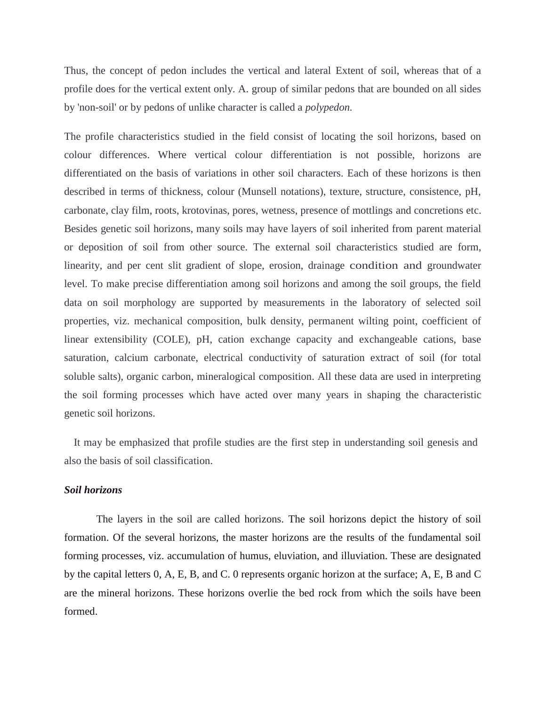Thus, the concept of pedon includes the vertical and lateral Extent of soil, whereas that of a profile does for the vertical extent only. A. group of similar pedons that are bounded on all sides by 'non-soil' or by pedons of unlike character is called a *polypedon.*

The profile characteristics studied in the field consist of locating the soil horizons, based on colour differences. Where vertical colour differentiation is not possible, horizons are differentiated on the basis of variations in other soil characters. Each of these horizons is then described in terms of thickness, colour (Munsell notations), texture, structure, consistence, pH, carbonate, clay film, roots, krotovinas, pores, wetness, presence of mottlings and concretions etc. Besides genetic soil horizons, many soils may have layers of soil inherited from parent material or deposition of soil from other source. The external soil characteristics studied are form, linearity, and per cent slit gradient of slope, erosion, drainage condition and groundwater level. To make precise differentiation among soil horizons and among the soil groups, the field data on soil morphology are supported by measurements in the laboratory of selected soil properties, viz. mechanical composition, bulk density, permanent wilting point, coefficient of linear extensibility (COLE), pH, cation exchange capacity and exchangeable cations, base saturation, calcium carbonate, electrical conductivity of saturation extract of soil (for total soluble salts), organic carbon, mineralogical composition. All these data are used in interpreting the soil forming processes which have acted over many years in shaping the characteristic genetic soil horizons.

It may be emphasized that profile studies are the first step in understanding soil genesis and also the basis of soil classification.

# *Soil horizons*

The layers in the soil are called horizons. The soil horizons depict the history of soil formation. Of the several horizons, the master horizons are the results of the fundamental soil forming processes, viz. accumulation of humus, eluviation, and illuviation. These are designated by the capital letters 0, A, E, B, and C. 0 represents organic horizon at the surface; A, E, B and C are the mineral horizons. These horizons overlie the bed rock from which the soils have been formed.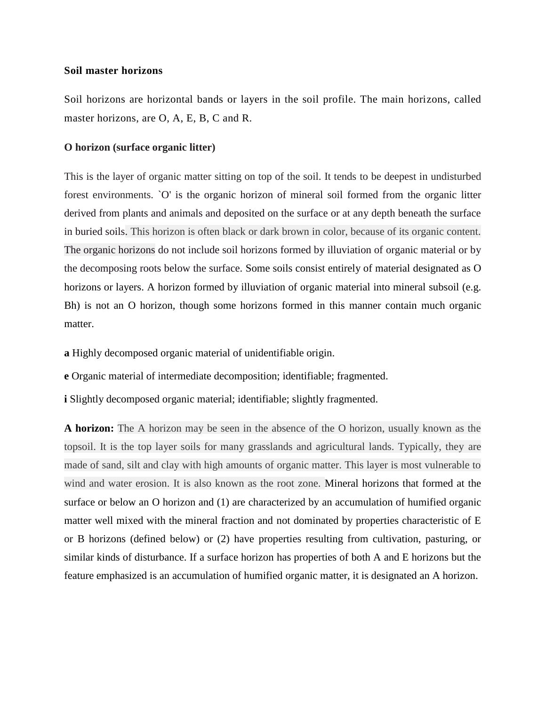# **Soil master horizons**

Soil horizons are horizontal bands or layers in the soil profile. The main horizons, called master horizons, are O, A, E, B, C and R.

## **O horizon (surface organic litter)**

This is the layer of organic matter sitting on top of the soil. It tends to be deepest in undisturbed forest environments. `O' is the organic horizon of mineral soil formed from the organic litter derived from plants and animals and deposited on the surface or at any depth beneath the surface in buried soils. This horizon is often black or dark brown in color, because of its organic content. The organic horizons do not include soil horizons formed by illuviation of organic material or by the decomposing roots below the surface. Some soils consist entirely of material designated as O horizons or layers. A horizon formed by illuviation of organic material into mineral subsoil (e.g. Bh) is not an O horizon, though some horizons formed in this manner contain much organic matter.

**a** Highly decomposed organic material of unidentifiable origin.

**e** Organic material of intermediate decomposition; identifiable; fragmented.

*i* Slightly decomposed organic material; identifiable; slightly fragmented.

**A horizon:** The A horizon may be seen in the absence of the O horizon, usually known as the topsoil. It is the top layer soils for many grasslands and agricultural lands. Typically, they are made of sand, silt and clay with high amounts of organic matter. This layer is most vulnerable to wind and water erosion. It is also known as the root zone. Mineral horizons that formed at the surface or below an O horizon and (1) are characterized by an accumulation of humified organic matter well mixed with the mineral fraction and not dominated by properties characteristic of E or B horizons (defined below) or (2) have properties resulting from cultivation, pasturing, or similar kinds of disturbance. If a surface horizon has properties of both A and E horizons but the feature emphasized is an accumulation of humified organic matter, it is designated an A horizon.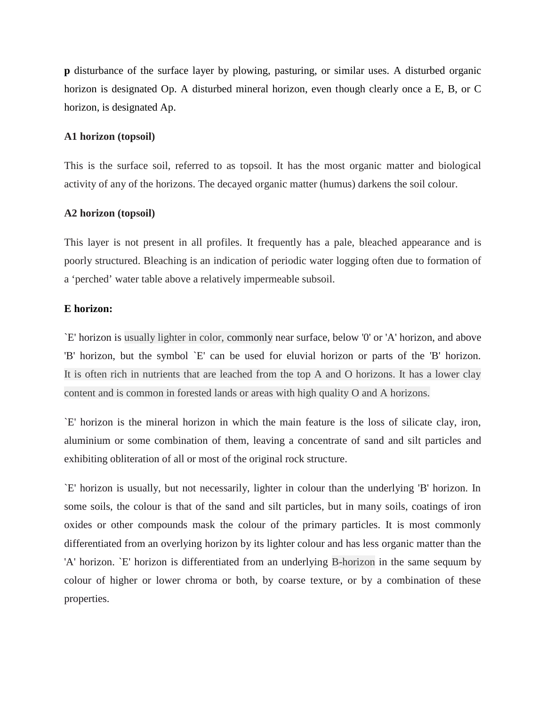**p** disturbance of the surface layer by plowing, pasturing, or similar uses. A disturbed organic horizon is designated Op. A disturbed mineral horizon, even though clearly once a E, B, or C horizon, is designated Ap.

# **A1 horizon (topsoil)**

This is the surface soil, referred to as topsoil. It has the most organic matter and biological activity of any of the horizons. The decayed organic matter (humus) darkens the soil colour.

## **A2 horizon (topsoil)**

This layer is not present in all profiles. It frequently has a pale, bleached appearance and is poorly structured. Bleaching is an indication of periodic water logging often due to formation of a 'perched' water table above a relatively impermeable subsoil.

## **E horizon:**

`E' horizon is usually lighter in color, commonly near surface, below '0' or 'A' horizon, and above 'B' horizon, but the symbol `E' can be used for eluvial horizon or parts of the 'B' horizon. It is often rich in nutrients that are leached from the top A and O horizons. It has a lower clay content and is common in forested lands or areas with high quality O and A horizons.

`E' horizon is the mineral horizon in which the main feature is the loss of silicate clay, iron, aluminium or some combination of them, leaving a concentrate of sand and silt particles and exhibiting obliteration of all or most of the original rock structure.

`E' horizon is usually, but not necessarily, lighter in colour than the underlying 'B' horizon. In some soils, the colour is that of the sand and silt particles, but in many soils, coatings of iron oxides or other compounds mask the colour of the primary particles. It is most commonly differentiated from an overlying horizon by its lighter colour and has less organic matter than the 'A' horizon. `E' horizon is differentiated from an underlying B-horizon in the same sequum by colour of higher or lower chroma or both, by coarse texture, or by a combination of these properties.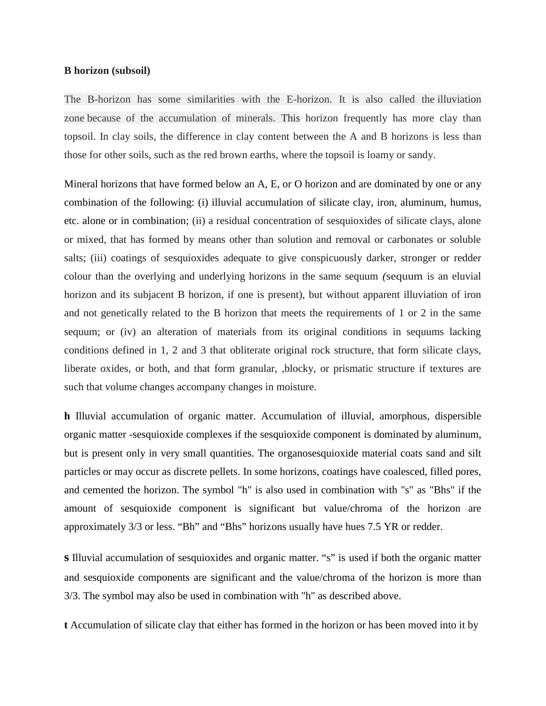#### **B horizon (subsoil)**

The B-horizon has some similarities with the E-horizon. It is also called the illuviation zone because of the accumulation of minerals. This horizon frequently has more clay than topsoil. In clay soils, the difference in clay content between the A and B horizons is less than those for other soils, such as the red brown earths, where the topsoil is loamy or sandy.

Mineral horizons that have formed below an A, E, or O horizon and are dominated by one or any combination of the following: (i) illuvial accumulation of silicate clay, iron, aluminum, humus, etc. alone or in combination; (ii) a residual concentration of sesquioxides of silicate clays, alone or mixed, that has formed by means other than solution and removal or carbonates or soluble salts; (iii) coatings of sesquioxides adequate to give conspicuously darker, stronger or redder colour than the overlying and underlying horizons in the same sequum *(*sequum is an eluvial horizon and its subjacent B horizon, if one is present), but without apparent illuviation of iron and not genetically related to the B horizon that meets the requirements of 1 or 2 in the same sequum; or (iv) an alteration of materials from its original conditions in sequums lacking conditions defined in 1, 2 and 3 that obliterate original rock structure, that form silicate clays, liberate oxides, or both, and that form granular, ,blocky, or prismatic structure if textures are such that volume changes accompany changes in moisture.

**h** Illuvial accumulation of organic matter. Accumulation of illuvial, amorphous, dispersible organic matter -sesquioxide complexes if the sesquioxide component is dominated by aluminum, but is present only in very small quantities. The organosesquioxide material coats sand and silt particles or may occur as discrete pellets. In some horizons, coatings have coalesced, filled pores, and cemented the horizon. The symbol "h" is also used in combination with "s" as "Bhs" if the amount of sesquioxide component is significant but value/chroma of the horizon are approximately 3/3 or less. "Bh" and "Bhs" horizons usually have hues 7.5 YR or redder.

**s** Illuvial accumulation of sesquioxides and organic matter. "s" is used if both the organic matter and sesquioxide components are significant and the value/chroma of the horizon is more than 3/3. The symbol may also be used in combination with "h" as described above.

**t** Accumulation of silicate clay that either has formed in the horizon or has been moved into it by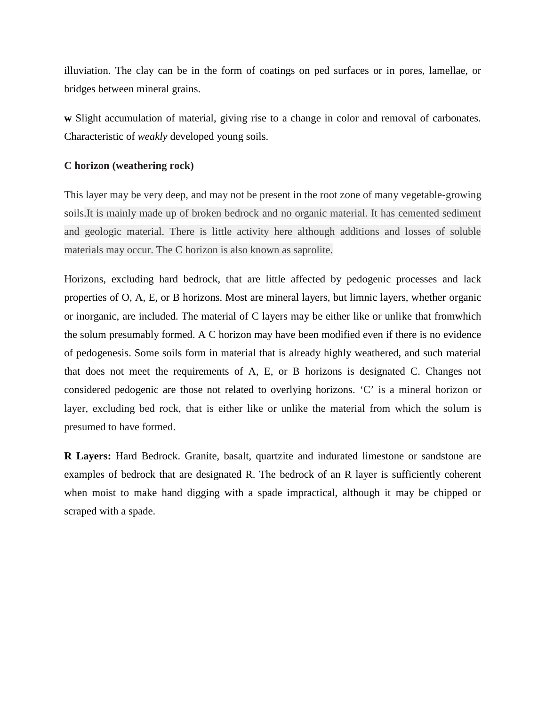illuviation. The clay can be in the form of coatings on ped surfaces or in pores, lamellae, or bridges between mineral grains.

**w** Slight accumulation of material, giving rise to a change in color and removal of carbonates. Characteristic of *weakly* developed young soils.

# **C horizon (weathering rock)**

This layer may be very deep, and may not be present in the root zone of many vegetable-growing soils.It is mainly made up of broken bedrock and no organic material. It has cemented sediment and geologic material. There is little activity here although additions and losses of soluble materials may occur. The C horizon is also known as saprolite.

Horizons, excluding hard bedrock, that are little affected by pedogenic processes and lack properties of O, A, E, or B horizons. Most are mineral layers, but limnic layers, whether organic or inorganic, are included. The material of C layers may be either like or unlike that fromwhich the solum presumably formed. A C horizon may have been modified even if there is no evidence of pedogenesis. Some soils form in material that is already highly weathered, and such material that does not meet the requirements of A, E, or B horizons is designated C. Changes not considered pedogenic are those not related to overlying horizons. 'C' is a mineral horizon or layer, excluding bed rock, that is either like or unlike the material from which the solum is presumed to have formed.

**R Layers:** Hard Bedrock. Granite, basalt, quartzite and indurated limestone or sandstone are examples of bedrock that are designated R. The bedrock of an R layer is sufficiently coherent when moist to make hand digging with a spade impractical, although it may be chipped or scraped with a spade.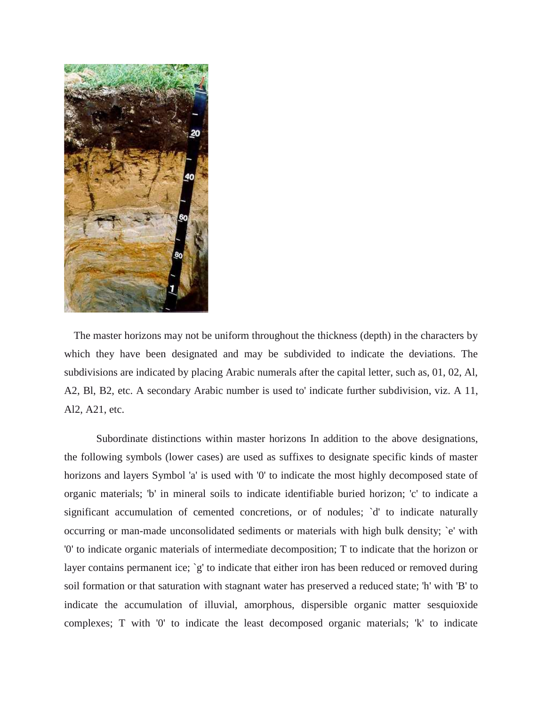

The master horizons may not be uniform throughout the thickness (depth) in the characters by which they have been designated and may be subdivided to indicate the deviations. The subdivisions are indicated by placing Arabic numerals after the capital letter, such as, 01, 02, Al, A2, Bl, B2, etc. A secondary Arabic number is used to' indicate further subdivision, viz. A 11, Al2, A21, etc.

Subordinate distinctions within master horizons In addition to the above designations, the following symbols (lower cases) are used as suffixes to designate specific kinds of master horizons and layers Symbol 'a' is used with '0' to indicate the most highly decomposed state of organic materials; 'b' in mineral soils to indicate identifiable buried horizon; 'c' to indicate a significant accumulation of cemented concretions, or of nodules; `d' to indicate naturally occurring or man-made unconsolidated sediments or materials with high bulk density; `e' with '0' to indicate organic materials of intermediate decomposition; T to indicate that the horizon or layer contains permanent ice; `g' to indicate that either iron has been reduced or removed during soil formation or that saturation with stagnant water has preserved a reduced state; 'h' with 'B' to indicate the accumulation of illuvial, amorphous, dispersible organic matter sesquioxide complexes; T with '0' to indicate the least decomposed organic materials; 'k' to indicate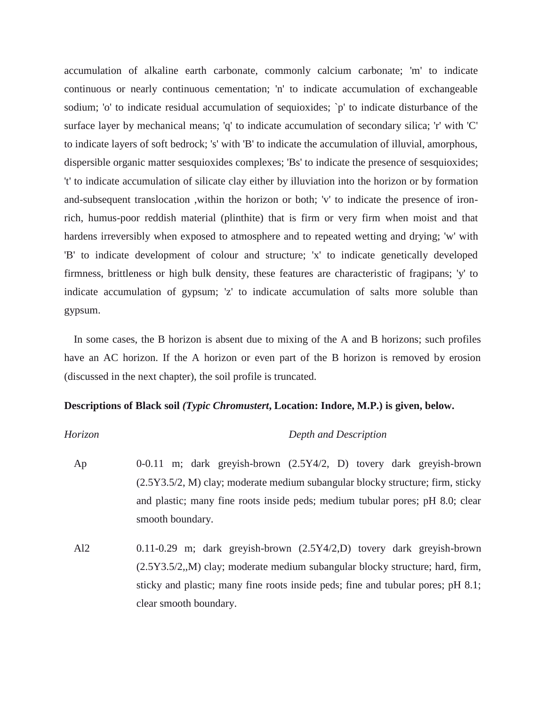accumulation of alkaline earth carbonate, commonly calcium carbonate; 'm' to indicate continuous or nearly continuous cementation; 'n' to indicate accumulation of exchangeable sodium; 'o' to indicate residual accumulation of sequioxides; 'p' to indicate disturbance of the surface layer by mechanical means; 'q' to indicate accumulation of secondary silica; 'r' with 'C' to indicate layers of soft bedrock; 's' with 'B' to indicate the accumulation of illuvial, amorphous, dispersible organic matter sesquioxides complexes; 'Bs' to indicate the presence of sesquioxides; 't' to indicate accumulation of silicate clay either by illuviation into the horizon or by formation and-subsequent translocation ,within the horizon or both; 'v' to indicate the presence of ironrich, humus-poor reddish material (plinthite) that is firm or very firm when moist and that hardens irreversibly when exposed to atmosphere and to repeated wetting and drying; 'w' with 'B' to indicate development of colour and structure; 'x' to indicate genetically developed firmness, brittleness or high bulk density, these features are characteristic of fragipans; 'y' to indicate accumulation of gypsum; 'z' to indicate accumulation of salts more soluble than gypsum.

In some cases, the B horizon is absent due to mixing of the A and B horizons; such profiles have an AC horizon. If the A horizon or even part of the B horizon is removed by erosion (discussed in the next chapter), the soil profile is truncated.

#### **Descriptions of Black soil** *(Typic Chromustert***, Location: Indore, M.P.) is given, below.**

## *Horizon Depth and Description*

Ap 0-0.11 m; dark greyish-brown (2.5Y4/2, D) tovery dark greyish-brown (2.5Y3.5/2, M) clay; moderate medium subangular blocky structure; firm, sticky and plastic; many fine roots inside peds; medium tubular pores; pH 8.0; clear smooth boundary.

Al2 0.11-0.29 m; dark greyish-brown (2.5Y4/2,D) tovery dark greyish-brown (2.5Y3.5/2,,M) clay; moderate medium subangular blocky structure; hard, firm, sticky and plastic; many fine roots inside peds; fine and tubular pores; pH 8.1; clear smooth boundary.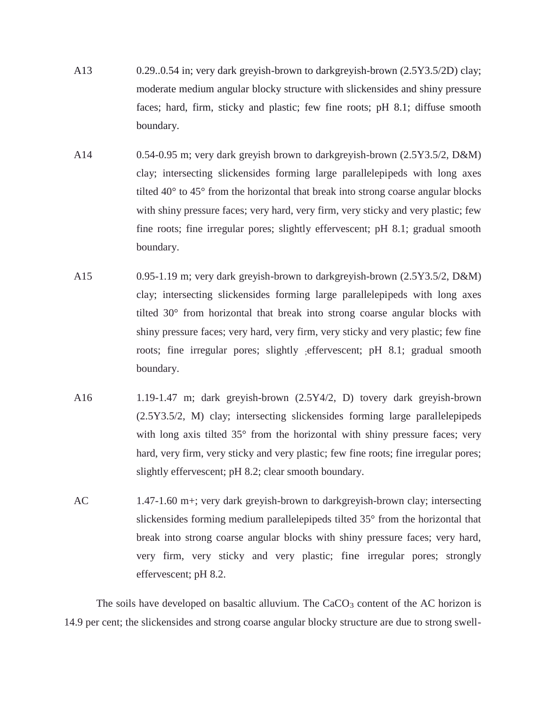- A13 0.29..0.54 in; very dark greyish-brown to darkgreyish-brown (2.5Y3.5/2D) clay; moderate medium angular blocky structure with slickensides and shiny pressure faces; hard, firm, sticky and plastic; few fine roots; pH 8.1; diffuse smooth boundary.
- A14 0.54-0.95 m; very dark greyish brown to darkgreyish-brown (2.5Y3.5/2, D&M) clay; intersecting slickensides forming large parallelepipeds with long axes tilted 40° to 45° from the horizontal that break into strong coarse angular blocks with shiny pressure faces; very hard, very firm, very sticky and very plastic; few fine roots; fine irregular pores; slightly effervescent; pH 8.1; gradual smooth boundary.
- A15 0.95-1.19 m; very dark greyish-brown to darkgreyish-brown (2.5Y3.5/2, D&M) clay; intersecting slickensides forming large parallelepipeds with long axes tilted 30° from horizontal that break into strong coarse angular blocks with shiny pressure faces; very hard, very firm, very sticky and very plastic; few fine roots; fine irregular pores; slightly effervescent; pH 8.1; gradual smooth boundary.
- A16 1.19-1.47 m; dark greyish-brown (2.5Y4/2, D) tovery dark greyish-brown (2.5Y3.5/2, M) clay; intersecting slickensides forming large parallelepipeds with long axis tilted 35° from the horizontal with shiny pressure faces; very hard, very firm, very sticky and very plastic; few fine roots; fine irregular pores; slightly effervescent; pH 8.2; clear smooth boundary.
- AC 1.47-1.60 m+; very dark greyish-brown to darkgreyish-brown clay; intersecting slickensides forming medium parallelepipeds tilted 35° from the horizontal that break into strong coarse angular blocks with shiny pressure faces; very hard, very firm, very sticky and very plastic; fine irregular pores; strongly effervescent; pH 8.2.

The soils have developed on basaltic alluvium. The  $CaCO<sub>3</sub>$  content of the AC horizon is 14.9 per cent; the slickensides and strong coarse angular blocky structure are due to strong swell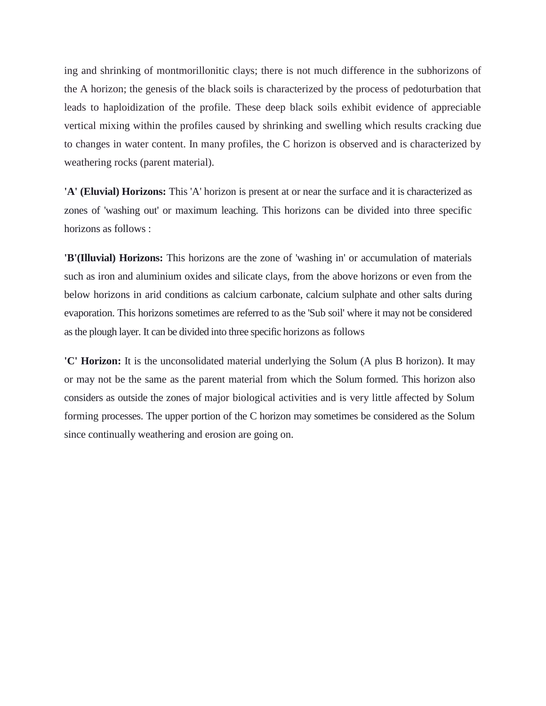ing and shrinking of montmorillonitic clays; there is not much difference in the subhorizons of the A horizon; the genesis of the black soils is characterized by the process of pedoturbation that leads to haploidization of the profile. These deep black soils exhibit evidence of appreciable vertical mixing within the profiles caused by shrinking and swelling which results cracking due to changes in water content. In many profiles, the C horizon is observed and is characterized by weathering rocks (parent material).

**'A' (Eluvial) Horizons:** This 'A' horizon is present at or near the surface and it is characterized as zones of 'washing out' or maximum leaching. This horizons can be divided into three specific horizons as follows :

**'B'(Illuvial) Horizons:** This horizons are the zone of 'washing in' or accumulation of materials such as iron and aluminium oxides and silicate clays, from the above horizons or even from the below horizons in arid conditions as calcium carbonate, calcium sulphate and other salts during evaporation. This horizons sometimes are referred to as the 'Sub soil' where it may not be considered as the plough layer. It can be divided into three specific horizons as follows

**'C' Horizon:** It is the unconsolidated material underlying the Solum (A plus B horizon). It may or may not be the same as the parent material from which the Solum formed. This horizon also considers as outside the zones of major biological activities and is very little affected by Solum forming processes. The upper portion of the C horizon may sometimes be considered as the Solum since continually weathering and erosion are going on.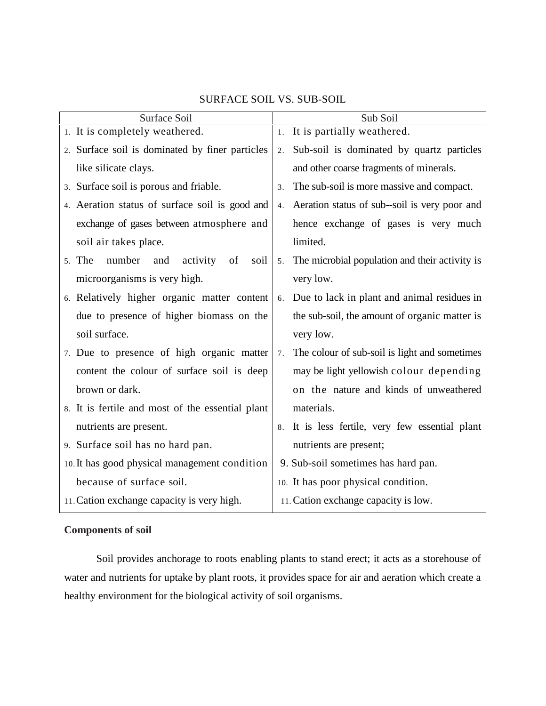| Surface Soil                                      | Sub Soil                                                         |
|---------------------------------------------------|------------------------------------------------------------------|
| 1. It is completely weathered.                    | 1. It is partially weathered.                                    |
| 2. Surface soil is dominated by finer particles   | Sub-soil is dominated by quartz particles<br>2.                  |
| like silicate clays.                              | and other coarse fragments of minerals.                          |
| 3. Surface soil is porous and friable.            | The sub-soil is more massive and compact.<br>3.                  |
| 4. Aeration status of surface soil is good and    | Aeration status of sub-soil is very poor and<br>4.               |
| exchange of gases between atmosphere and          | hence exchange of gases is very much                             |
| soil air takes place.                             | limited.                                                         |
| number<br>5. The<br>activity<br>and<br>of<br>soil | The microbial population and their activity is<br>5 <sub>1</sub> |
| microorganisms is very high.                      | very low.                                                        |
| 6. Relatively higher organic matter content       | Due to lack in plant and animal residues in<br>6.                |
| due to presence of higher biomass on the          | the sub-soil, the amount of organic matter is                    |
| soil surface.                                     | very low.                                                        |
| 7. Due to presence of high organic matter         | The colour of sub-soil is light and sometimes<br>7.              |
| content the colour of surface soil is deep        | may be light yellowish colour depending                          |
| brown or dark.                                    | on the nature and kinds of unweathered                           |
| 8. It is fertile and most of the essential plant  | materials.                                                       |
| nutrients are present.                            | It is less fertile, very few essential plant<br>8.               |
| 9. Surface soil has no hard pan.                  | nutrients are present;                                           |
| 10. It has good physical management condition     | 9. Sub-soil sometimes has hard pan.                              |
| because of surface soil.                          | 10. It has poor physical condition.                              |
| 11. Cation exchange capacity is very high.        | 11. Cation exchange capacity is low.                             |
|                                                   |                                                                  |

# SURFACE SOIL VS. SUB-SOIL

# **Components of soil**

Soil provides anchorage to roots enabling plants to stand erect; it acts as a storehouse of water and nutrients for uptake by plant roots, it provides space for air and aeration which create a healthy environment for the biological activity of soil organisms.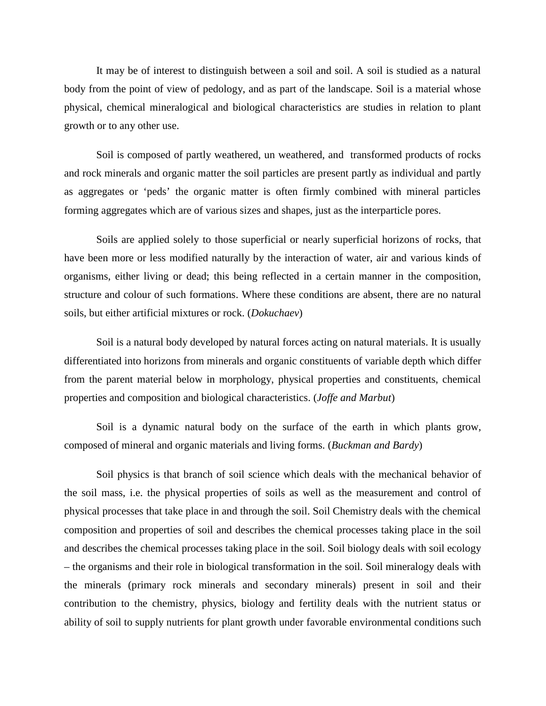It may be of interest to distinguish between a soil and soil. A soil is studied as a natural body from the point of view of pedology, and as part of the landscape. Soil is a material whose physical, chemical mineralogical and biological characteristics are studies in relation to plant growth or to any other use.

Soil is composed of partly weathered, un weathered, and transformed products of rocks and rock minerals and organic matter the soil particles are present partly as individual and partly as aggregates or 'peds' the organic matter is often firmly combined with mineral particles forming aggregates which are of various sizes and shapes, just as the interparticle pores.

Soils are applied solely to those superficial or nearly superficial horizons of rocks, that have been more or less modified naturally by the interaction of water, air and various kinds of organisms, either living or dead; this being reflected in a certain manner in the composition, structure and colour of such formations. Where these conditions are absent, there are no natural soils, but either artificial mixtures or rock. (*Dokuchaev*)

Soil is a natural body developed by natural forces acting on natural materials. It is usually differentiated into horizons from minerals and organic constituents of variable depth which differ from the parent material below in morphology, physical properties and constituents, chemical properties and composition and biological characteristics. (*Joffe and Marbut*)

Soil is a dynamic natural body on the surface of the earth in which plants grow, composed of mineral and organic materials and living forms. (*Buckman and Bardy*)

Soil physics is that branch of soil science which deals with the mechanical behavior of the soil mass, i.e. the physical properties of soils as well as the measurement and control of physical processes that take place in and through the soil. Soil Chemistry deals with the chemical composition and properties of soil and describes the chemical processes taking place in the soil and describes the chemical processes taking place in the soil. Soil biology deals with soil ecology – the organisms and their role in biological transformation in the soil. Soil mineralogy deals with the minerals (primary rock minerals and secondary minerals) present in soil and their contribution to the chemistry, physics, biology and fertility deals with the nutrient status or ability of soil to supply nutrients for plant growth under favorable environmental conditions such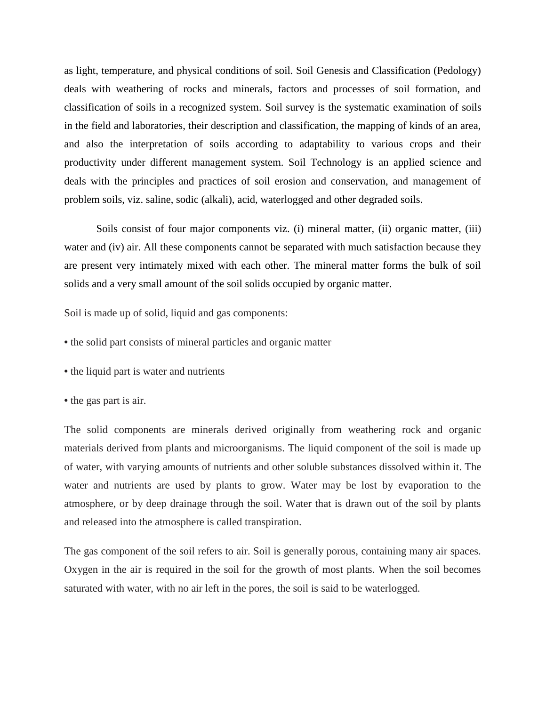as light, temperature, and physical conditions of soil. Soil Genesis and Classification (Pedology) deals with weathering of rocks and minerals, factors and processes of soil formation, and classification of soils in a recognized system. Soil survey is the systematic examination of soils in the field and laboratories, their description and classification, the mapping of kinds of an area, and also the interpretation of soils according to adaptability to various crops and their productivity under different management system. Soil Technology is an applied science and deals with the principles and practices of soil erosion and conservation, and management of problem soils, viz. saline, sodic (alkali), acid, waterlogged and other degraded soils.

Soils consist of four major components viz. (i) mineral matter, (ii) organic matter, (iii) water and (iv) air. All these components cannot be separated with much satisfaction because they are present very intimately mixed with each other. The mineral matter forms the bulk of soil solids and a very small amount of the soil solids occupied by organic matter.

Soil is made up of solid, liquid and gas components:

- **•** the solid part consists of mineral particles and organic matter
- **•** the liquid part is water and nutrients
- **•** the gas part is air.

The solid components are minerals derived originally from weathering rock and organic materials derived from plants and microorganisms. The liquid component of the soil is made up of water, with varying amounts of nutrients and other soluble substances dissolved within it. The water and nutrients are used by plants to grow. Water may be lost by evaporation to the atmosphere, or by deep drainage through the soil. Water that is drawn out of the soil by plants and released into the atmosphere is called transpiration.

The gas component of the soil refers to air. Soil is generally porous, containing many air spaces. Oxygen in the air is required in the soil for the growth of most plants. When the soil becomes saturated with water, with no air left in the pores, the soil is said to be waterlogged.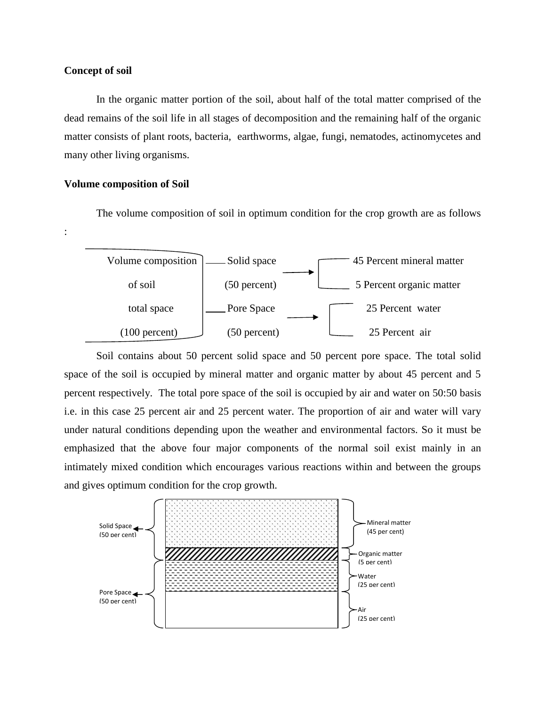## **Concept of soil**

:

In the organic matter portion of the soil, about half of the total matter comprised of the dead remains of the soil life in all stages of decomposition and the remaining half of the organic matter consists of plant roots, bacteria, earthworms, algae, fungi, nematodes, actinomycetes and many other living organisms.

### **Volume composition of Soil**

The volume composition of soil in optimum condition for the crop growth are as follows



Soil contains about 50 percent solid space and 50 percent pore space. The total solid space of the soil is occupied by mineral matter and organic matter by about 45 percent and 5 percent respectively. The total pore space of the soil is occupied by air and water on 50:50 basis i.e. in this case 25 percent air and 25 percent water. The proportion of air and water will vary under natural conditions depending upon the weather and environmental factors. So it must be emphasized that the above four major components of the normal soil exist mainly in an intimately mixed condition which encourages various reactions within and between the groups and gives optimum condition for the crop growth.

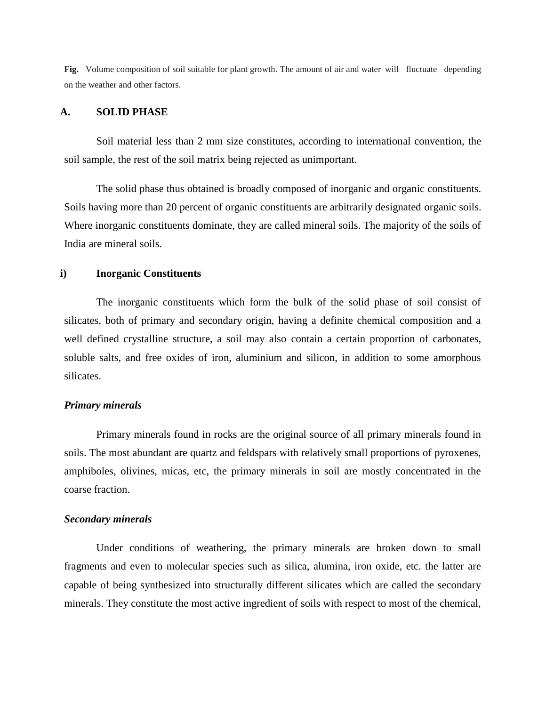**Fig.** Volume composition of soil suitable for plant growth. The amount of air and water will fluctuate depending on the weather and other factors.

# **A. SOLID PHASE**

Soil material less than 2 mm size constitutes, according to international convention, the soil sample, the rest of the soil matrix being rejected as unimportant.

The solid phase thus obtained is broadly composed of inorganic and organic constituents. Soils having more than 20 percent of organic constituents are arbitrarily designated organic soils. Where inorganic constituents dominate, they are called mineral soils. The majority of the soils of India are mineral soils.

#### **i) Inorganic Constituents**

The inorganic constituents which form the bulk of the solid phase of soil consist of silicates, both of primary and secondary origin, having a definite chemical composition and a well defined crystalline structure, a soil may also contain a certain proportion of carbonates, soluble salts, and free oxides of iron, aluminium and silicon, in addition to some amorphous silicates.

#### *Primary minerals*

Primary minerals found in rocks are the original source of all primary minerals found in soils. The most abundant are quartz and feldspars with relatively small proportions of pyroxenes, amphiboles, olivines, micas, etc, the primary minerals in soil are mostly concentrated in the coarse fraction.

## *Secondary minerals*

Under conditions of weathering, the primary minerals are broken down to small fragments and even to molecular species such as silica, alumina, iron oxide, etc. the latter are capable of being synthesized into structurally different silicates which are called the secondary minerals. They constitute the most active ingredient of soils with respect to most of the chemical,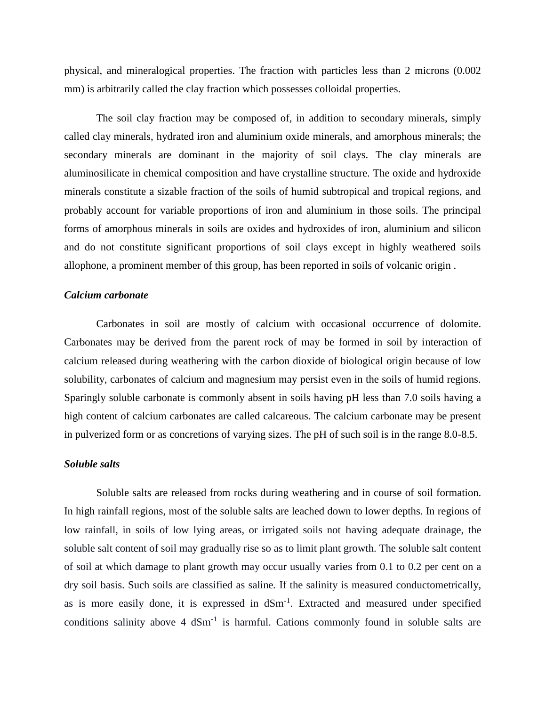physical, and mineralogical properties. The fraction with particles less than 2 microns (0.002 mm) is arbitrarily called the clay fraction which possesses colloidal properties.

The soil clay fraction may be composed of, in addition to secondary minerals, simply called clay minerals, hydrated iron and aluminium oxide minerals, and amorphous minerals; the secondary minerals are dominant in the majority of soil clays. The clay minerals are aluminosilicate in chemical composition and have crystalline structure. The oxide and hydroxide minerals constitute a sizable fraction of the soils of humid subtropical and tropical regions, and probably account for variable proportions of iron and aluminium in those soils. The principal forms of amorphous minerals in soils are oxides and hydroxides of iron, aluminium and silicon and do not constitute significant proportions of soil clays except in highly weathered soils allophone, a prominent member of this group, has been reported in soils of volcanic origin .

### *Calcium carbonate*

Carbonates in soil are mostly of calcium with occasional occurrence of dolomite. Carbonates may be derived from the parent rock of may be formed in soil by interaction of calcium released during weathering with the carbon dioxide of biological origin because of low solubility, carbonates of calcium and magnesium may persist even in the soils of humid regions. Sparingly soluble carbonate is commonly absent in soils having pH less than 7.0 soils having a high content of calcium carbonates are called calcareous. The calcium carbonate may be present in pulverized form or as concretions of varying sizes. The pH of such soil is in the range 8.0-8.5.

#### *Soluble salts*

Soluble salts are released from rocks during weathering and in course of soil formation. In high rainfall regions, most of the soluble salts are leached down to lower depths. In regions of low rainfall, in soils of low lying areas, or irrigated soils not having adequate drainage, the soluble salt content of soil may gradually rise so as to limit plant growth. The soluble salt content of soil at which damage to plant growth may occur usually varies from 0.1 to 0.2 per cent on a dry soil basis. Such soils are classified as saline*.* If the salinity is measured conductometrically, as is more easily done, it is expressed in  $dSm^{-1}$ . Extracted and measured under specified conditions salinity above  $4 \text{ dSm}^{-1}$  is harmful. Cations commonly found in soluble salts are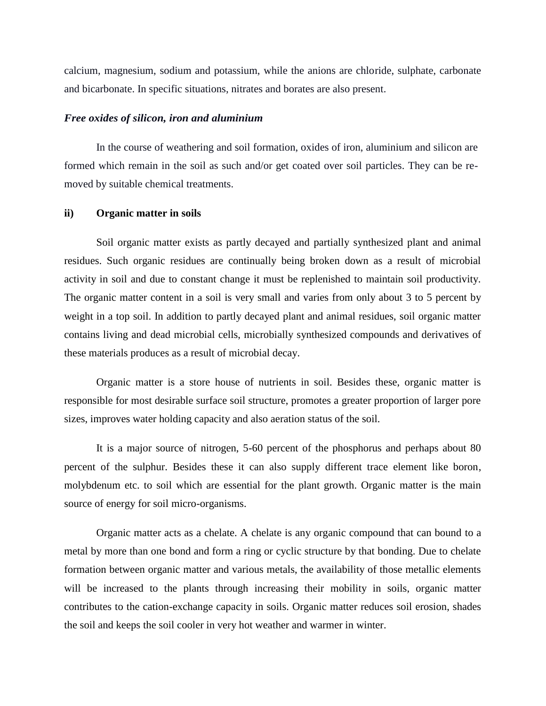calcium, magnesium, sodium and potassium, while the anions are chloride, sulphate, carbonate and bicarbonate. In specific situations, nitrates and borates are also present.

## *Free oxides of silicon, iron and aluminium*

In the course of weathering and soil formation, oxides of iron, aluminium and silicon are formed which remain in the soil as such and/or get coated over soil particles. They can be re moved by suitable chemical treatments.

## **ii) Organic matter in soils**

Soil organic matter exists as partly decayed and partially synthesized plant and animal residues. Such organic residues are continually being broken down as a result of microbial activity in soil and due to constant change it must be replenished to maintain soil productivity. The organic matter content in a soil is very small and varies from only about 3 to 5 percent by weight in a top soil. In addition to partly decayed plant and animal residues, soil organic matter contains living and dead microbial cells, microbially synthesized compounds and derivatives of these materials produces as a result of microbial decay.

Organic matter is a store house of nutrients in soil. Besides these, organic matter is responsible for most desirable surface soil structure, promotes a greater proportion of larger pore sizes, improves water holding capacity and also aeration status of the soil.

It is a major source of nitrogen, 5-60 percent of the phosphorus and perhaps about 80 percent of the sulphur. Besides these it can also supply different trace element like boron, molybdenum etc. to soil which are essential for the plant growth. Organic matter is the main source of energy for soil micro-organisms.

Organic matter acts as a chelate. A chelate is any organic compound that can bound to a metal by more than one bond and form a ring or cyclic structure by that bonding. Due to chelate formation between organic matter and various metals, the availability of those metallic elements will be increased to the plants through increasing their mobility in soils, organic matter contributes to the cation-exchange capacity in soils. Organic matter reduces soil erosion, shades the soil and keeps the soil cooler in very hot weather and warmer in winter.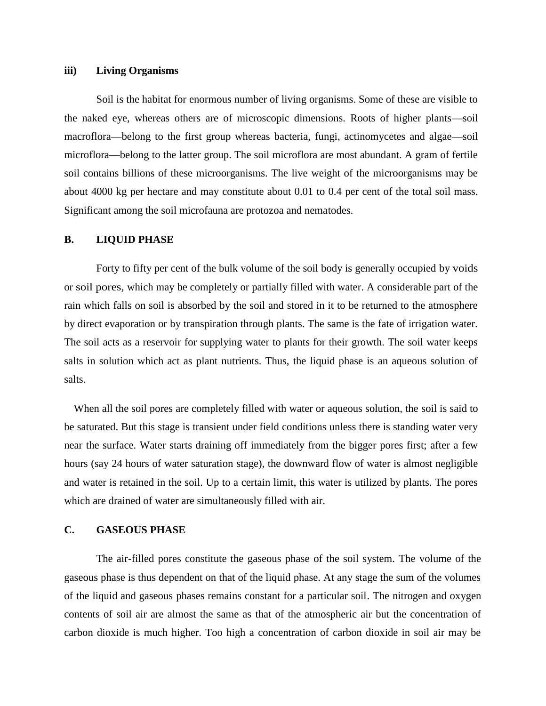#### **iii) Living Organisms**

Soil is the habitat for enormous number of living organisms. Some of these are visible to the naked eye, whereas others are of microscopic dimensions. Roots of higher plants—soil macroflora—belong to the first group whereas bacteria, fungi, actinomycetes and algae—soil microflora—belong to the latter group. The soil microflora are most abundant. A gram of fertile soil contains billions of these microorganisms. The live weight of the microorganisms may be about 4000 kg per hectare and may constitute about 0.01 to 0.4 per cent of the total soil mass. Significant among the soil microfauna are protozoa and nematodes.

## **B. LIQUID PHASE**

Forty to fifty per cent of the bulk volume of the soil body is generally occupied by voids or soil pores*,* which may be completely or partially filled with water. A considerable part of the rain which falls on soil is absorbed by the soil and stored in it to be returned to the atmosphere by direct evaporation or by transpiration through plants. The same is the fate of irrigation water. The soil acts as a reservoir for supplying water to plants for their growth. The soil water keeps salts in solution which act as plant nutrients. Thus, the liquid phase is an aqueous solution of salts.

When all the soil pores are completely filled with water or aqueous solution, the soil is said to be saturated. But this stage is transient under field conditions unless there is standing water very near the surface. Water starts draining off immediately from the bigger pores first; after a few hours (say 24 hours of water saturation stage), the downward flow of water is almost negligible and water is retained in the soil. Up to a certain limit, this water is utilized by plants. The pores which are drained of water are simultaneously filled with air.

## **C. GASEOUS PHASE**

The air-filled pores constitute the gaseous phase of the soil system. The volume of the gaseous phase is thus dependent on that of the liquid phase. At any stage the sum of the volumes of the liquid and gaseous phases remains constant for a particular soil. The nitrogen and oxygen contents of soil air are almost the same as that of the atmospheric air but the concentration of carbon dioxide is much higher. Too high a concentration of carbon dioxide in soil air may be